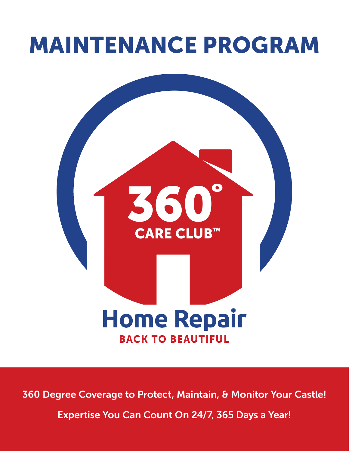# MAINTENANCE PROGRAM



360 Degree Coverage to Protect, Maintain, & Monitor Your Castle! Expertise You Can Count On 24/7, 365 Days a Year!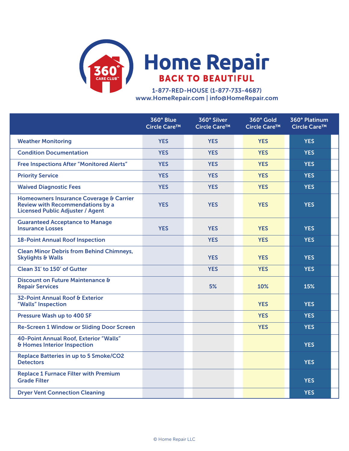

1-877-RED-HOUSE (1-877-733-4687) www.HomeRepair.com | info@HomeRepair.com

|                                                                                                                               | 360° Blue<br>Circle Care™ | 360° Silver<br>Circle Care™ | 360° Gold<br>Circle Care™ | 360° Platinum<br>Circle Care™ |  |
|-------------------------------------------------------------------------------------------------------------------------------|---------------------------|-----------------------------|---------------------------|-------------------------------|--|
| <b>Weather Monitoring</b>                                                                                                     | <b>YES</b>                | <b>YES</b>                  | <b>YES</b>                | <b>YES</b>                    |  |
| <b>Condition Documentation</b>                                                                                                | <b>YES</b>                | <b>YES</b>                  | <b>YES</b>                | <b>YES</b>                    |  |
| <b>Free Inspections After "Monitored Alerts"</b>                                                                              | <b>YES</b>                | <b>YES</b>                  | <b>YES</b>                | <b>YES</b>                    |  |
| <b>Priority Service</b>                                                                                                       | <b>YES</b>                | <b>YES</b>                  | <b>YES</b>                | <b>YES</b>                    |  |
| <b>Waived Diagnostic Fees</b>                                                                                                 | <b>YES</b>                | <b>YES</b>                  | <b>YES</b>                | <b>YES</b>                    |  |
| Homeowners Insurance Coverage & Carrier<br><b>Review with Recommendations by a</b><br><b>Licensed Public Adjuster / Agent</b> | <b>YES</b>                | <b>YES</b>                  | <b>YES</b>                | <b>YES</b>                    |  |
| <b>Guaranteed Acceptance to Manage</b><br><b>Insurance Losses</b>                                                             | <b>YES</b>                | <b>YES</b>                  | <b>YES</b>                | <b>YES</b>                    |  |
| <b>18-Point Annual Roof Inspection</b>                                                                                        |                           | <b>YES</b>                  | <b>YES</b>                | <b>YES</b>                    |  |
| <b>Clean Minor Debris from Behind Chimneys,</b><br><b>Skylights &amp; Walls</b>                                               |                           | <b>YES</b>                  | <b>YES</b>                | <b>YES</b>                    |  |
| Clean 31' to 150' of Gutter                                                                                                   |                           | <b>YES</b>                  | <b>YES</b>                | <b>YES</b>                    |  |
| Discount on Future Maintenance &<br><b>Repair Services</b>                                                                    |                           | 5%                          | 10%                       | 15%                           |  |
| 32-Point Annual Roof & Exterior<br>"Walls" Inspection                                                                         |                           |                             | <b>YES</b>                | <b>YES</b>                    |  |
| Pressure Wash up to 400 SF                                                                                                    |                           |                             | <b>YES</b>                | <b>YES</b>                    |  |
| <b>Re-Screen 1 Window or Sliding Door Screen</b>                                                                              |                           |                             | <b>YES</b>                | <b>YES</b>                    |  |
| 40-Point Annual Roof, Exterior "Walls"<br>& Homes Interior Inspection                                                         |                           |                             |                           | <b>YES</b>                    |  |
| <b>Replace Batteries in up to 5 Smoke/CO2</b><br><b>Detectors</b>                                                             |                           |                             |                           | <b>YES</b>                    |  |
| <b>Replace 1 Furnace Filter with Premium</b><br><b>Grade Filter</b>                                                           |                           |                             |                           | <b>YES</b>                    |  |
| <b>Dryer Vent Connection Cleaning</b>                                                                                         |                           |                             |                           | <b>YES</b>                    |  |